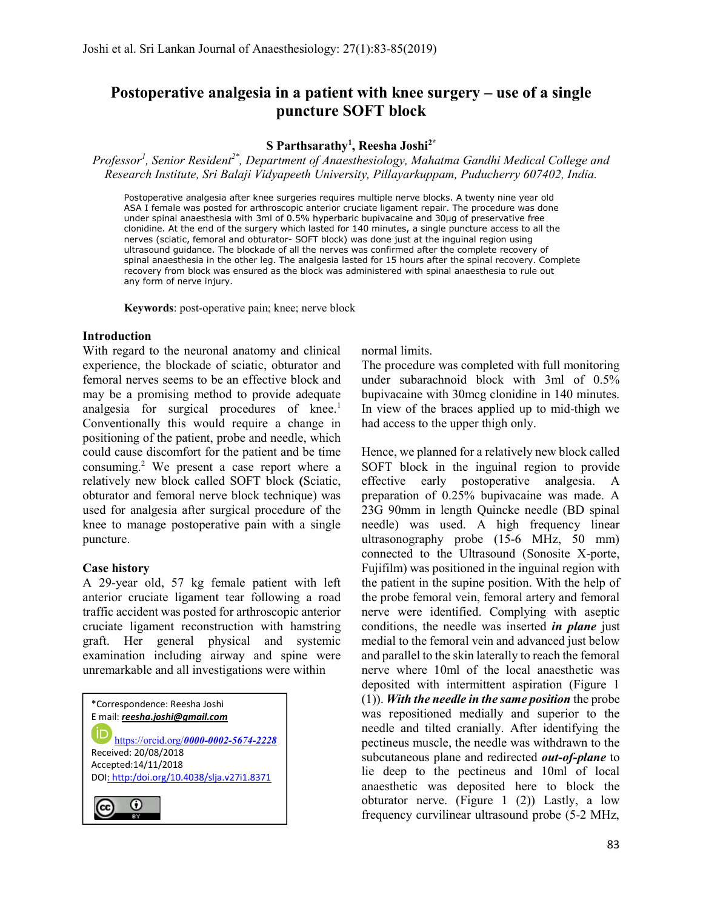# Postoperative analgesia in a patient with knee surgery – use of a single puncture SOFT block

#### S Parthsarathy<sup>1</sup>, Reesha Joshi<sup>2\*</sup>

Professor<sup>1</sup>, Senior Resident<sup>2\*</sup>, Department of Anaesthesiology, Mahatma Gandhi Medical College and Research Institute, Sri Balaji Vidyapeeth University, Pillayarkuppam, Puducherry 607402, India.

Postoperative analgesia after knee surgeries requires multiple nerve blocks. A twenty nine year old ASA I female was posted for arthroscopic anterior cruciate ligament repair. The procedure was done under spinal anaesthesia with 3ml of 0.5% hyperbaric bupivacaine and 30µg of preservative free clonidine. At the end of the surgery which lasted for 140 minutes, a single puncture access to all the nerves (sciatic, femoral and obturator- SOFT block) was done just at the inguinal region using ultrasound guidance. The blockade of all the nerves was confirmed after the complete recovery of spinal anaesthesia in the other leg. The analgesia lasted for 15 hours after the spinal recovery. Complete recovery from block was ensured as the block was administered with spinal anaesthesia to rule out any form of nerve injury.

Keywords: post-operative pain; knee; nerve block

#### Introduction

With regard to the neuronal anatomy and clinical experience, the blockade of sciatic, obturator and femoral nerves seems to be an effective block and may be a promising method to provide adequate analgesia for surgical procedures of knee.<sup>1</sup> Conventionally this would require a change in positioning of the patient, probe and needle, which could cause discomfort for the patient and be time consuming.<sup>2</sup> We present a case report where a relatively new block called SOFT block (Sciatic, obturator and femoral nerve block technique) was used for analgesia after surgical procedure of the knee to manage postoperative pain with a single puncture.

## Case history

A 29-year old, 57 kg female patient with left anterior cruciate ligament tear following a road traffic accident was posted for arthroscopic anterior cruciate ligament reconstruction with hamstring graft. Her general physical and systemic examination including airway and spine were unremarkable and all investigations were within

| *Correspondence: Reesha Joshi              |
|--------------------------------------------|
| E mail: reesha.joshi@gmail.com             |
| https://orcid.org/0000-0002-5674-2228      |
| Received: 20/08/2018                       |
| Accepted:14/11/2018                        |
| DOI: http:/doi.org/10.4038/slja.v27i1.8371 |
|                                            |

 $\overline{\phantom{a}}$ 

normal limits.

The procedure was completed with full monitoring under subarachnoid block with 3ml of 0.5% bupivacaine with 30mcg clonidine in 140 minutes. In view of the braces applied up to mid-thigh we had access to the upper thigh only.

Hence, we planned for a relatively new block called SOFT block in the inguinal region to provide effective early postoperative analgesia. A preparation of 0.25% bupivacaine was made. A 23G 90mm in length Quincke needle (BD spinal needle) was used. A high frequency linear ultrasonography probe (15-6 MHz, 50 mm) connected to the Ultrasound (Sonosite X-porte, Fujifilm) was positioned in the inguinal region with the patient in the supine position. With the help of the probe femoral vein, femoral artery and femoral nerve were identified. Complying with aseptic conditions, the needle was inserted *in plane* just medial to the femoral vein and advanced just below and parallel to the skin laterally to reach the femoral nerve where 10ml of the local anaesthetic was deposited with intermittent aspiration (Figure 1  $(1)$ ). With the needle in the same position the probe was repositioned medially and superior to the needle and tilted cranially. After identifying the pectineus muscle, the needle was withdrawn to the subcutaneous plane and redirected *out-of-plane* to lie deep to the pectineus and 10ml of local anaesthetic was deposited here to block the obturator nerve. (Figure 1 (2)) Lastly, a low frequency curvilinear ultrasound probe (5-2 MHz,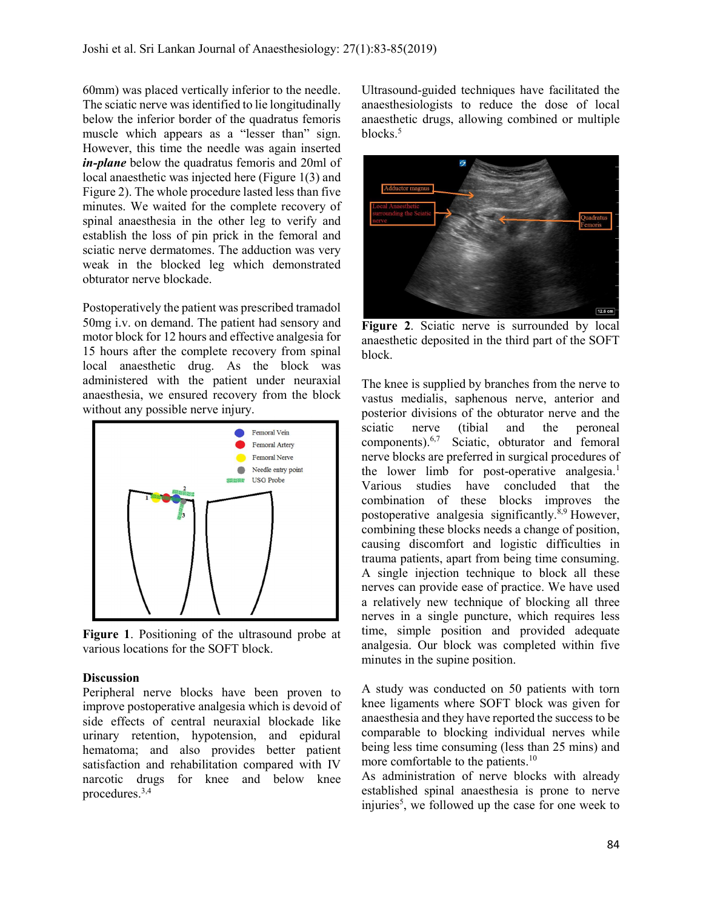60mm) was placed vertically inferior to the needle. The sciatic nerve was identified to lie longitudinally below the inferior border of the quadratus femoris muscle which appears as a "lesser than" sign. However, this time the needle was again inserted in-plane below the quadratus femoris and 20ml of local anaesthetic was injected here (Figure 1(3) and Figure 2). The whole procedure lasted less than five minutes. We waited for the complete recovery of spinal anaesthesia in the other leg to verify and establish the loss of pin prick in the femoral and sciatic nerve dermatomes. The adduction was very weak in the blocked leg which demonstrated obturator nerve blockade.

Postoperatively the patient was prescribed tramadol 50mg i.v. on demand. The patient had sensory and motor block for 12 hours and effective analgesia for 15 hours after the complete recovery from spinal local anaesthetic drug. As the block was administered with the patient under neuraxial anaesthesia, we ensured recovery from the block without any possible nerve injury.



Figure 1. Positioning of the ultrasound probe at various locations for the SOFT block.

#### **Discussion**

Peripheral nerve blocks have been proven to improve postoperative analgesia which is devoid of side effects of central neuraxial blockade like urinary retention, hypotension, and epidural hematoma; and also provides better patient satisfaction and rehabilitation compared with IV narcotic drugs for knee and below knee procedures.3,4

Ultrasound-guided techniques have facilitated the anaesthesiologists to reduce the dose of local anaesthetic drugs, allowing combined or multiple blocks.<sup>5</sup>



Figure 2. Sciatic nerve is surrounded by local anaesthetic deposited in the third part of the SOFT block.

The knee is supplied by branches from the nerve to vastus medialis, saphenous nerve, anterior and posterior divisions of the obturator nerve and the sciatic nerve (tibial and the peroneal components).6,7 Sciatic, obturator and femoral nerve blocks are preferred in surgical procedures of the lower limb for post-operative analgesia.<sup>1</sup> Various studies have concluded that the combination of these blocks improves the postoperative analgesia significantly. $\hat{s}$ <sup>9</sup> However, combining these blocks needs a change of position, causing discomfort and logistic difficulties in trauma patients, apart from being time consuming. A single injection technique to block all these nerves can provide ease of practice. We have used a relatively new technique of blocking all three nerves in a single puncture, which requires less time, simple position and provided adequate analgesia. Our block was completed within five minutes in the supine position.

A study was conducted on 50 patients with torn knee ligaments where SOFT block was given for anaesthesia and they have reported the success to be comparable to blocking individual nerves while being less time consuming (less than 25 mins) and more comfortable to the patients.<sup>10</sup>

As administration of nerve blocks with already established spinal anaesthesia is prone to nerve injuries<sup>5</sup>, we followed up the case for one week to